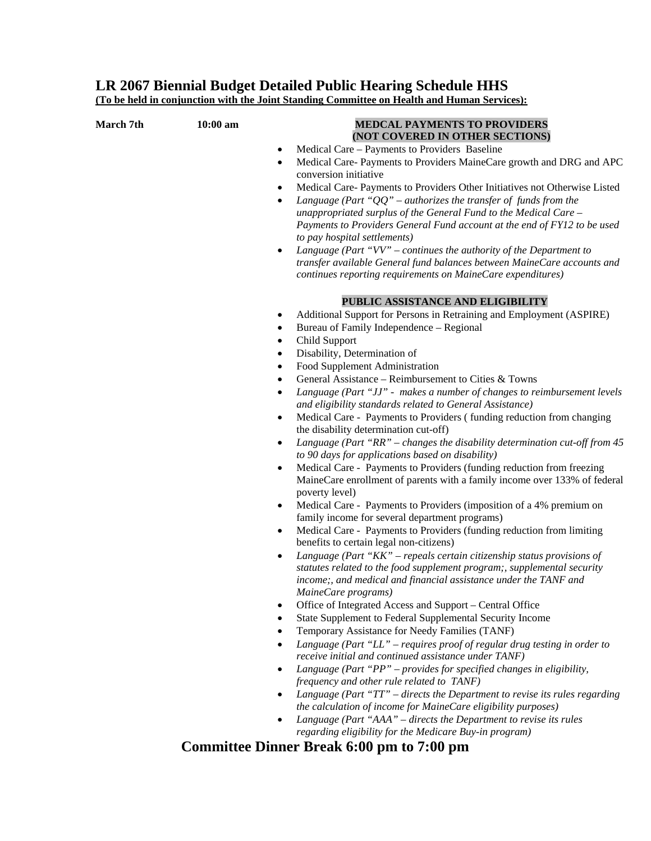## **LR 2067 Biennial Budget Detailed Public Hearing Schedule HHS**

**(To be held in conjunction with the Joint Standing Committee on Health and Human Services):**

| March 7th | 10:00 am | <b>MEDCAL PAYMENTS TO PROVIDERS</b>                                                                                                           |
|-----------|----------|-----------------------------------------------------------------------------------------------------------------------------------------------|
|           |          | (NOT COVERED IN OTHER SECTIONS)                                                                                                               |
|           |          | Medical Care – Payments to Providers Baseline<br>$\bullet$                                                                                    |
|           |          | Medical Care- Payments to Providers MaineCare growth and DRG and APC<br>$\bullet$<br>conversion initiative                                    |
|           |          | Medical Care- Payments to Providers Other Initiatives not Otherwise Listed<br>$\bullet$                                                       |
|           |          | Language (Part " $QQ$ " – authorizes the transfer of funds from the<br>٠                                                                      |
|           |          | unappropriated surplus of the General Fund to the Medical Care -                                                                              |
|           |          | Payments to Providers General Fund account at the end of FY12 to be used<br>to pay hospital settlements)                                      |
|           |          | Language (Part " $VV$ " – continues the authority of the Department to<br>$\bullet$                                                           |
|           |          | transfer available General fund balances between MaineCare accounts and<br>continues reporting requirements on MaineCare expenditures)        |
|           |          | PUBLIC ASSISTANCE AND ELIGIBILITY                                                                                                             |
|           |          | Additional Support for Persons in Retraining and Employment (ASPIRE)<br>٠                                                                     |
|           |          | Bureau of Family Independence - Regional<br>٠                                                                                                 |
|           |          | Child Support<br>٠                                                                                                                            |
|           |          | Disability, Determination of<br>٠                                                                                                             |
|           |          | Food Supplement Administration<br>٠                                                                                                           |
|           |          | General Assistance – Reimbursement to Cities & Towns<br>$\bullet$                                                                             |
|           |          | Language (Part "JJ" - makes a number of changes to reimbursement levels<br>٠<br>and eligibility standards related to General Assistance)      |
|           |          | Medical Care - Payments to Providers (funding reduction from changing<br>$\bullet$                                                            |
|           |          | the disability determination cut-off)                                                                                                         |
|           |          | Language (Part "RR" – changes the disability determination cut-off from $45$<br>$\bullet$<br>to 90 days for applications based on disability) |
|           |          | Medical Care - Payments to Providers (funding reduction from freezing<br>$\bullet$                                                            |
|           |          | MaineCare enrollment of parents with a family income over 133% of federal                                                                     |
|           |          | poverty level)                                                                                                                                |
|           |          | Medical Care - Payments to Providers (imposition of a 4% premium on<br>٠                                                                      |
|           |          | family income for several department programs)                                                                                                |
|           |          | Medical Care - Payments to Providers (funding reduction from limiting<br>٠<br>benefits to certain legal non-citizens)                         |
|           |          | Language (Part " $KK$ " – repeals certain citizenship status provisions of<br>٠                                                               |
|           |          | statutes related to the food supplement program;, supplemental security                                                                       |
|           |          | income;, and medical and financial assistance under the TANF and                                                                              |
|           |          | MaineCare programs)                                                                                                                           |
|           |          | Office of Integrated Access and Support - Central Office<br>State Supplement to Federal Supplemental Security Income                          |
|           |          | Temporary Assistance for Needy Families (TANF)                                                                                                |
|           |          | Language (Part "LL" – requires proof of regular drug testing in order to                                                                      |
|           |          | receive initial and continued assistance under TANF)                                                                                          |
|           |          | Language (Part "PP" - provides for specified changes in eligibility,<br>٠<br>frequency and other rule related to TANF)                        |
|           |          | Language (Part "TT" - directs the Department to revise its rules regarding<br>the calculation of income for MaineCare eligibility purposes)   |
|           |          | Language (Part "AAA" – directs the Department to revise its rules<br>٠                                                                        |
|           |          | regarding eligibility for the Medicare Buy-in program)                                                                                        |
|           |          | $\mathbf{D}_{\text{model}}$ (00 $\mathbf{D}_{\text{model}}$ 4.00                                                                              |

## **Committee Dinner Break 6:00 pm to 7:00 pm**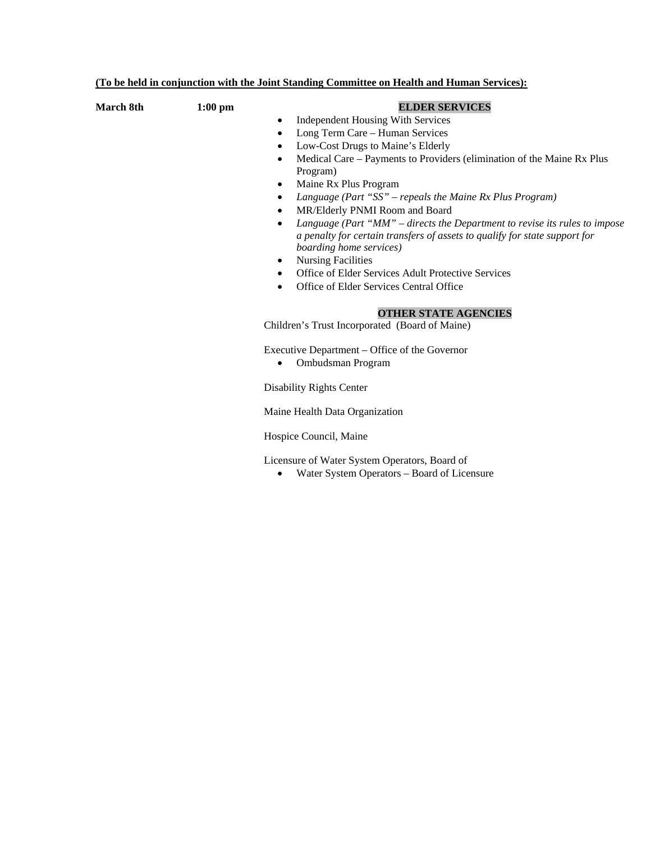|           |           | <u>(To be held in conjunction with the Joint Standing Committee on Health and Human Services):</u>                                                                                                                                                                                                                                                                                                                                                                                                                                                                                                                                                                                                                                                                                                                                                                                                                                                                                                                                                                                                                                                                        |
|-----------|-----------|---------------------------------------------------------------------------------------------------------------------------------------------------------------------------------------------------------------------------------------------------------------------------------------------------------------------------------------------------------------------------------------------------------------------------------------------------------------------------------------------------------------------------------------------------------------------------------------------------------------------------------------------------------------------------------------------------------------------------------------------------------------------------------------------------------------------------------------------------------------------------------------------------------------------------------------------------------------------------------------------------------------------------------------------------------------------------------------------------------------------------------------------------------------------------|
| March 8th | $1:00$ pm | <b>ELDER SERVICES</b><br>Independent Housing With Services<br>$\bullet$<br>Long Term Care - Human Services<br>$\bullet$<br>Low-Cost Drugs to Maine's Elderly<br>$\bullet$<br>Medical Care – Payments to Providers (elimination of the Maine Rx Plus<br>$\bullet$<br>Program)<br>Maine Rx Plus Program<br>$\bullet$<br>Language (Part "SS" - repeals the Maine Rx Plus Program)<br>$\bullet$<br>MR/Elderly PNMI Room and Board<br>$\bullet$<br>Language (Part "MM" – directs the Department to revise its rules to impose<br>$\bullet$<br>a penalty for certain transfers of assets to qualify for state support for<br>boarding home services)<br><b>Nursing Facilities</b><br>$\bullet$<br>Office of Elder Services Adult Protective Services<br>$\bullet$<br>Office of Elder Services Central Office<br>$\bullet$<br><b>OTHER STATE AGENCIES</b><br>Children's Trust Incorporated (Board of Maine)<br>Executive Department - Office of the Governor<br>Ombudsman Program<br><b>Disability Rights Center</b><br>Maine Health Data Organization<br>Hospice Council, Maine<br>Licensure of Water System Operators, Board of<br>Water System Operators - Board of Licensure |
|           |           |                                                                                                                                                                                                                                                                                                                                                                                                                                                                                                                                                                                                                                                                                                                                                                                                                                                                                                                                                                                                                                                                                                                                                                           |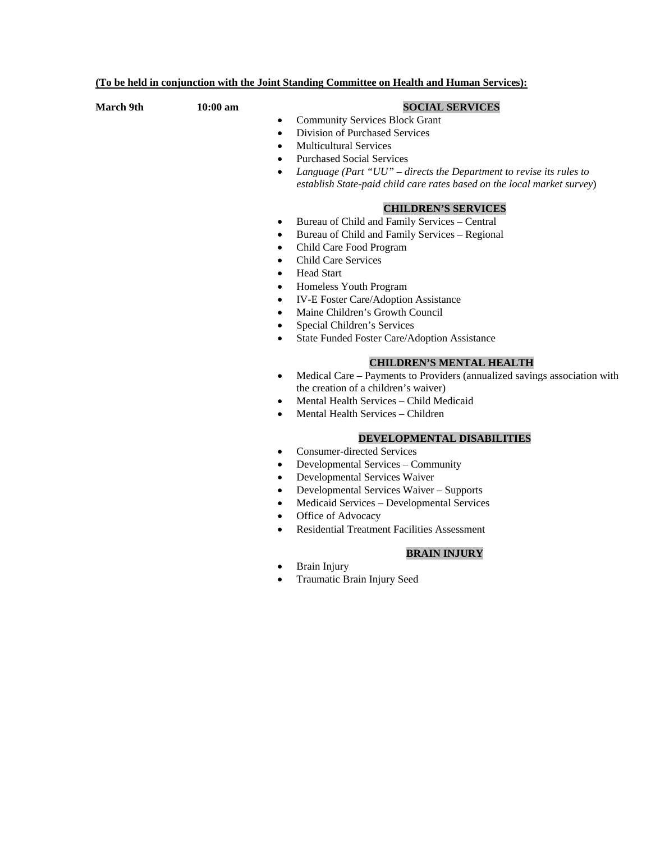| (To be held in conjunction with the Joint Standing Committee on Health and Human Services): |            |                                                                                                                                                                                                                                                                                                                                                                                                                                                                                                                                                                                                                                                                                                                                                                                                                                                                                                                                                                                                                                                                                                                                                                                                                                                                                                                                                                                                                                                                                                                                        |
|---------------------------------------------------------------------------------------------|------------|----------------------------------------------------------------------------------------------------------------------------------------------------------------------------------------------------------------------------------------------------------------------------------------------------------------------------------------------------------------------------------------------------------------------------------------------------------------------------------------------------------------------------------------------------------------------------------------------------------------------------------------------------------------------------------------------------------------------------------------------------------------------------------------------------------------------------------------------------------------------------------------------------------------------------------------------------------------------------------------------------------------------------------------------------------------------------------------------------------------------------------------------------------------------------------------------------------------------------------------------------------------------------------------------------------------------------------------------------------------------------------------------------------------------------------------------------------------------------------------------------------------------------------------|
| <b>March 9th</b>                                                                            | $10:00$ am | <b>SOCIAL SERVICES</b><br><b>Community Services Block Grant</b><br>$\bullet$<br>Division of Purchased Services<br>$\bullet$<br><b>Multicultural Services</b><br>$\bullet$<br><b>Purchased Social Services</b><br>Language (Part "UU" - directs the Department to revise its rules to<br>$\bullet$<br>establish State-paid child care rates based on the local market survey)<br><b>CHILDREN'S SERVICES</b><br>Bureau of Child and Family Services - Central<br>$\bullet$<br>Bureau of Child and Family Services - Regional<br>$\bullet$<br>Child Care Food Program<br>$\bullet$<br><b>Child Care Services</b><br>$\bullet$<br><b>Head Start</b><br>$\bullet$<br>Homeless Youth Program<br>$\bullet$<br>IV-E Foster Care/Adoption Assistance<br>$\bullet$<br>Maine Children's Growth Council<br>$\bullet$<br>Special Children's Services<br>$\bullet$<br>State Funded Foster Care/Adoption Assistance<br>$\bullet$<br><b>CHILDREN'S MENTAL HEALTH</b><br>Medical Care - Payments to Providers (annualized savings association with<br>٠<br>the creation of a children's waiver)<br>Mental Health Services - Child Medicaid<br>٠<br>Mental Health Services - Children<br>DEVELOPMENTAL DISABILITIES<br><b>Consumer-directed Services</b><br>$\bullet$<br>Developmental Services - Community<br>٠<br>Developmental Services Waiver<br>٠<br>Developmental Services Waiver - Supports<br>٠<br>Medicaid Services - Developmental Services<br>٠<br>Office of Advocacy<br>٠<br><b>Residential Treatment Facilities Assessment</b><br>$\bullet$ |
|                                                                                             |            |                                                                                                                                                                                                                                                                                                                                                                                                                                                                                                                                                                                                                                                                                                                                                                                                                                                                                                                                                                                                                                                                                                                                                                                                                                                                                                                                                                                                                                                                                                                                        |
|                                                                                             |            |                                                                                                                                                                                                                                                                                                                                                                                                                                                                                                                                                                                                                                                                                                                                                                                                                                                                                                                                                                                                                                                                                                                                                                                                                                                                                                                                                                                                                                                                                                                                        |
|                                                                                             |            |                                                                                                                                                                                                                                                                                                                                                                                                                                                                                                                                                                                                                                                                                                                                                                                                                                                                                                                                                                                                                                                                                                                                                                                                                                                                                                                                                                                                                                                                                                                                        |
|                                                                                             |            |                                                                                                                                                                                                                                                                                                                                                                                                                                                                                                                                                                                                                                                                                                                                                                                                                                                                                                                                                                                                                                                                                                                                                                                                                                                                                                                                                                                                                                                                                                                                        |
|                                                                                             |            |                                                                                                                                                                                                                                                                                                                                                                                                                                                                                                                                                                                                                                                                                                                                                                                                                                                                                                                                                                                                                                                                                                                                                                                                                                                                                                                                                                                                                                                                                                                                        |
|                                                                                             |            |                                                                                                                                                                                                                                                                                                                                                                                                                                                                                                                                                                                                                                                                                                                                                                                                                                                                                                                                                                                                                                                                                                                                                                                                                                                                                                                                                                                                                                                                                                                                        |
|                                                                                             |            |                                                                                                                                                                                                                                                                                                                                                                                                                                                                                                                                                                                                                                                                                                                                                                                                                                                                                                                                                                                                                                                                                                                                                                                                                                                                                                                                                                                                                                                                                                                                        |
|                                                                                             |            |                                                                                                                                                                                                                                                                                                                                                                                                                                                                                                                                                                                                                                                                                                                                                                                                                                                                                                                                                                                                                                                                                                                                                                                                                                                                                                                                                                                                                                                                                                                                        |
|                                                                                             |            | <b>BRAIN INJURY</b>                                                                                                                                                                                                                                                                                                                                                                                                                                                                                                                                                                                                                                                                                                                                                                                                                                                                                                                                                                                                                                                                                                                                                                                                                                                                                                                                                                                                                                                                                                                    |
|                                                                                             |            | <b>Brain Injury</b>                                                                                                                                                                                                                                                                                                                                                                                                                                                                                                                                                                                                                                                                                                                                                                                                                                                                                                                                                                                                                                                                                                                                                                                                                                                                                                                                                                                                                                                                                                                    |
|                                                                                             |            | Traumatic Brain Injury Seed                                                                                                                                                                                                                                                                                                                                                                                                                                                                                                                                                                                                                                                                                                                                                                                                                                                                                                                                                                                                                                                                                                                                                                                                                                                                                                                                                                                                                                                                                                            |
|                                                                                             |            |                                                                                                                                                                                                                                                                                                                                                                                                                                                                                                                                                                                                                                                                                                                                                                                                                                                                                                                                                                                                                                                                                                                                                                                                                                                                                                                                                                                                                                                                                                                                        |
|                                                                                             |            |                                                                                                                                                                                                                                                                                                                                                                                                                                                                                                                                                                                                                                                                                                                                                                                                                                                                                                                                                                                                                                                                                                                                                                                                                                                                                                                                                                                                                                                                                                                                        |
|                                                                                             |            |                                                                                                                                                                                                                                                                                                                                                                                                                                                                                                                                                                                                                                                                                                                                                                                                                                                                                                                                                                                                                                                                                                                                                                                                                                                                                                                                                                                                                                                                                                                                        |
|                                                                                             |            |                                                                                                                                                                                                                                                                                                                                                                                                                                                                                                                                                                                                                                                                                                                                                                                                                                                                                                                                                                                                                                                                                                                                                                                                                                                                                                                                                                                                                                                                                                                                        |
|                                                                                             |            |                                                                                                                                                                                                                                                                                                                                                                                                                                                                                                                                                                                                                                                                                                                                                                                                                                                                                                                                                                                                                                                                                                                                                                                                                                                                                                                                                                                                                                                                                                                                        |
|                                                                                             |            |                                                                                                                                                                                                                                                                                                                                                                                                                                                                                                                                                                                                                                                                                                                                                                                                                                                                                                                                                                                                                                                                                                                                                                                                                                                                                                                                                                                                                                                                                                                                        |
|                                                                                             |            |                                                                                                                                                                                                                                                                                                                                                                                                                                                                                                                                                                                                                                                                                                                                                                                                                                                                                                                                                                                                                                                                                                                                                                                                                                                                                                                                                                                                                                                                                                                                        |
|                                                                                             |            |                                                                                                                                                                                                                                                                                                                                                                                                                                                                                                                                                                                                                                                                                                                                                                                                                                                                                                                                                                                                                                                                                                                                                                                                                                                                                                                                                                                                                                                                                                                                        |
|                                                                                             |            |                                                                                                                                                                                                                                                                                                                                                                                                                                                                                                                                                                                                                                                                                                                                                                                                                                                                                                                                                                                                                                                                                                                                                                                                                                                                                                                                                                                                                                                                                                                                        |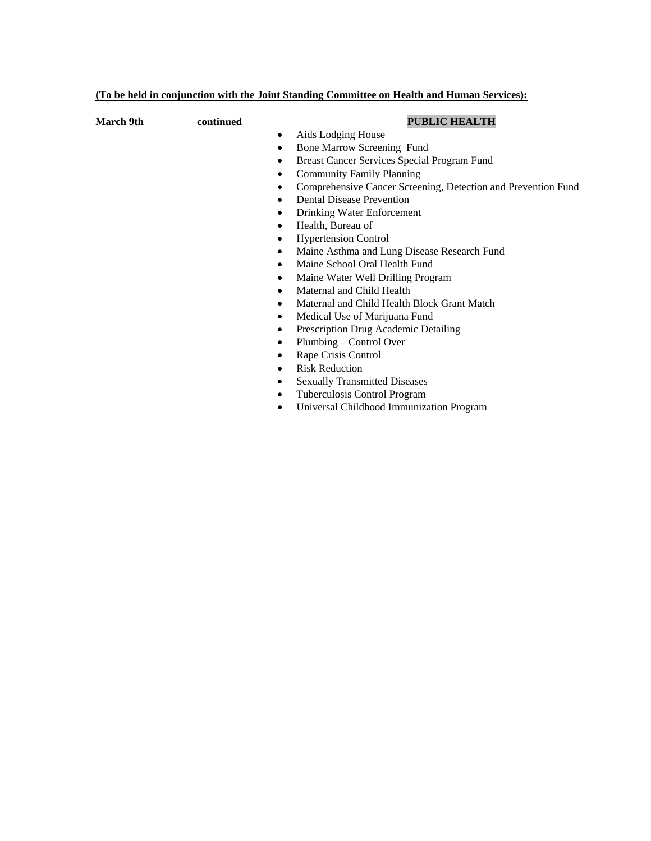| (To be held in conjunction with the Joint Standing Committee on Health and Human Services): |
|---------------------------------------------------------------------------------------------|
|---------------------------------------------------------------------------------------------|

| March 9th | continued | <b>PUBLIC HEALTH</b>                                               |
|-----------|-----------|--------------------------------------------------------------------|
|           |           | Aids Lodging House<br>$\bullet$                                    |
|           |           | Bone Marrow Screening Fund<br>$\bullet$                            |
|           |           | Breast Cancer Services Special Program Fund<br>٠                   |
|           |           | <b>Community Family Planning</b><br>$\bullet$                      |
|           |           | Comprehensive Cancer Screening, Detection and Prevention Fund<br>٠ |
|           |           | <b>Dental Disease Prevention</b><br>٠                              |
|           |           | Drinking Water Enforcement<br>$\bullet$                            |
|           |           | Health, Bureau of<br>٠                                             |
|           |           | <b>Hypertension Control</b><br>$\bullet$                           |
|           |           | Maine Asthma and Lung Disease Research Fund<br>$\bullet$           |
|           |           | Maine School Oral Health Fund<br>$\bullet$                         |
|           |           | Maine Water Well Drilling Program                                  |
|           |           | Maternal and Child Health<br>$\bullet$                             |
|           |           | Maternal and Child Health Block Grant Match<br>$\bullet$           |
|           |           | Medical Use of Marijuana Fund<br>$\bullet$                         |
|           |           | Prescription Drug Academic Detailing<br>$\bullet$                  |
|           |           | Plumbing – Control Over<br>$\bullet$                               |
|           |           | Rape Crisis Control<br>٠                                           |
|           |           | <b>Risk Reduction</b><br>$\bullet$                                 |
|           |           | <b>Sexually Transmitted Diseases</b><br>٠                          |
|           |           | Tuberculosis Control Program<br>$\bullet$                          |
|           |           | Universal Childhood Immunization Program<br>$\bullet$              |
|           |           |                                                                    |
|           |           |                                                                    |
|           |           |                                                                    |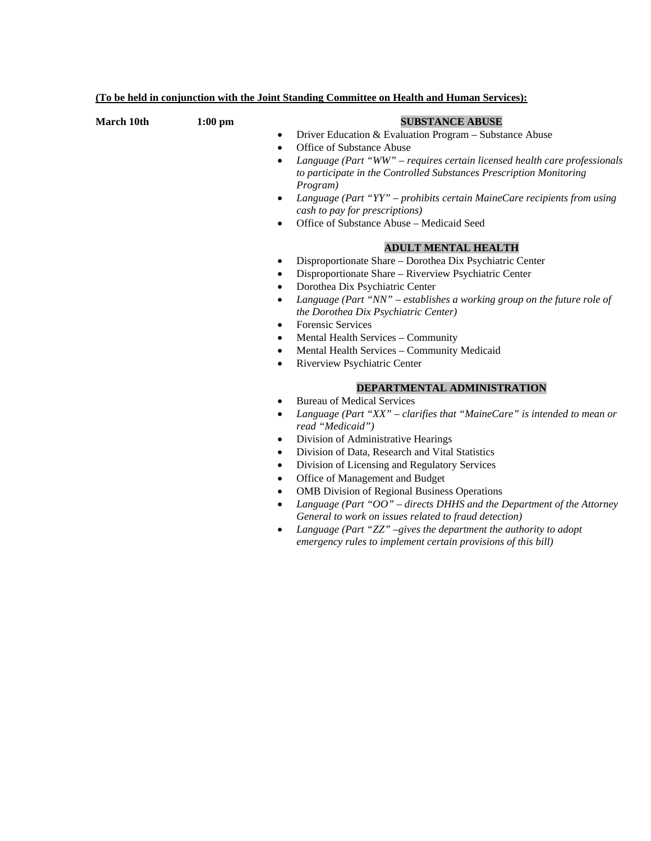| (To be held in conjunction with the Joint Standing Committee on Health and Human Services): |  |
|---------------------------------------------------------------------------------------------|--|
|---------------------------------------------------------------------------------------------|--|

| March 10th | $1:00$ pm | <b>SUBSTANCE ABUSE</b><br>Driver Education & Evaluation Program - Substance Abuse<br>$\bullet$<br>Office of Substance Abuse<br>$\bullet$<br>Language (Part "WW" – requires certain licensed health care professionals<br>$\bullet$<br>to participate in the Controlled Substances Prescription Monitoring<br>Program)<br>Language (Part "YY" - prohibits certain MaineCare recipients from using<br>$\bullet$<br>cash to pay for prescriptions)<br>Office of Substance Abuse - Medicaid Seed<br>$\bullet$                                                                                                                                                                                                                                                                                    |
|------------|-----------|----------------------------------------------------------------------------------------------------------------------------------------------------------------------------------------------------------------------------------------------------------------------------------------------------------------------------------------------------------------------------------------------------------------------------------------------------------------------------------------------------------------------------------------------------------------------------------------------------------------------------------------------------------------------------------------------------------------------------------------------------------------------------------------------|
|            |           | <b>ADULT MENTAL HEALTH</b><br>Disproportionate Share - Dorothea Dix Psychiatric Center<br>$\bullet$<br>Disproportionate Share - Riverview Psychiatric Center<br>٠<br>Dorothea Dix Psychiatric Center<br>$\bullet$<br>Language (Part "NN" – establishes a working group on the future role of<br>$\bullet$<br>the Dorothea Dix Psychiatric Center)<br><b>Forensic Services</b><br>$\bullet$<br>Mental Health Services - Community<br>٠<br>Mental Health Services - Community Medicaid<br>$\bullet$<br>Riverview Psychiatric Center<br>$\bullet$                                                                                                                                                                                                                                               |
|            |           | DEPARTMENTAL ADMINISTRATION<br><b>Bureau of Medical Services</b><br>$\bullet$<br>Language (Part "XX" – clarifies that "MaineCare" is intended to mean or<br>$\bullet$<br>read "Medicaid")<br>Division of Administrative Hearings<br>$\bullet$<br>Division of Data, Research and Vital Statistics<br>$\bullet$<br>Division of Licensing and Regulatory Services<br>$\bullet$<br>Office of Management and Budget<br>٠<br><b>OMB</b> Division of Regional Business Operations<br>$\bullet$<br>Language (Part " $OO$ " – directs DHHS and the Department of the Attorney<br>$\bullet$<br>General to work on issues related to fraud detection)<br>Language (Part "ZZ" -gives the department the authority to adopt<br>$\bullet$<br>emergency rules to implement certain provisions of this bill) |
|            |           |                                                                                                                                                                                                                                                                                                                                                                                                                                                                                                                                                                                                                                                                                                                                                                                              |